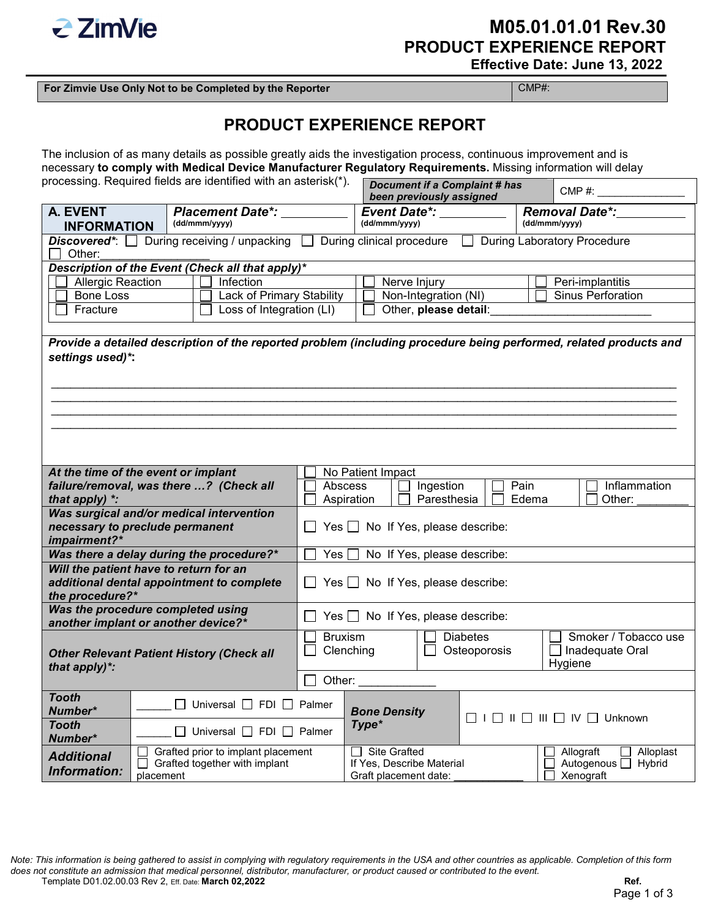

## **M05.01.01.01 Rev.30 PRODUCT EXPERIENCE REPORT Effective Date: June 13, 2022**

**For Zimvie Use Only Not to be Completed by the Reporter** COMP#:

## **PRODUCT EXPERIENCE REPORT**

The inclusion of as many details as possible greatly aids the investigation process, continuous improvement and is necessary **to comply with Medical Device Manufacturer Regulatory Requirements.** Missing information will delay

| processing. Required fields are identified with an asterisk(*).                                        |                                                                                  |                                                                                                                   |                                                                                              |                                        | <b>Document if a Complaint # has</b><br>been previously assigned                                                           |  |                                         | CMP #:           |
|--------------------------------------------------------------------------------------------------------|----------------------------------------------------------------------------------|-------------------------------------------------------------------------------------------------------------------|----------------------------------------------------------------------------------------------|----------------------------------------|----------------------------------------------------------------------------------------------------------------------------|--|-----------------------------------------|------------------|
| <b>A. EVENT</b><br><b>Placement Date*:</b>                                                             |                                                                                  |                                                                                                                   |                                                                                              |                                        | <b>Event Date*:</b>                                                                                                        |  | <b>Removal Date*:</b>                   |                  |
| (dd/mmm/yyyy)<br><b>INFORMATION</b>                                                                    |                                                                                  |                                                                                                                   |                                                                                              |                                        | (dd/mmm/yyyy)                                                                                                              |  | (dd/mmm/yyyy)                           |                  |
| <b>Discovered</b> <sup>*</sup> : $\Box$ During receiving / unpacking $\Box$<br>Other:                  |                                                                                  |                                                                                                                   |                                                                                              |                                        |                                                                                                                            |  |                                         |                  |
|                                                                                                        |                                                                                  | Description of the Event (Check all that apply)*                                                                  |                                                                                              |                                        |                                                                                                                            |  |                                         |                  |
| Infection<br><b>Allergic Reaction</b>                                                                  |                                                                                  |                                                                                                                   |                                                                                              | Nerve Injury                           |                                                                                                                            |  |                                         | Peri-implantitis |
| <b>Bone Loss</b>                                                                                       |                                                                                  | Lack of Primary Stability                                                                                         |                                                                                              |                                        | Non-Integration (NI)                                                                                                       |  | Sinus Perforation                       |                  |
| Fracture                                                                                               |                                                                                  | Loss of Integration (LI)                                                                                          |                                                                                              | Other, please detail:                  |                                                                                                                            |  |                                         |                  |
|                                                                                                        |                                                                                  |                                                                                                                   |                                                                                              |                                        |                                                                                                                            |  |                                         |                  |
| settings used)*:                                                                                       |                                                                                  | Provide a detailed description of the reported problem (including procedure being performed, related products and |                                                                                              |                                        |                                                                                                                            |  |                                         |                  |
| At the time of the event or implant                                                                    |                                                                                  | failure/removal, was there ? (Check all                                                                           |                                                                                              | No Patient Impact                      |                                                                                                                            |  |                                         |                  |
| that apply) *:                                                                                         |                                                                                  |                                                                                                                   | Abscess<br>Ingestion<br>Pain<br>Inflammation<br>Aspiration<br>Paresthesia<br>Edema<br>Other: |                                        |                                                                                                                            |  |                                         |                  |
| Was surgical and/or medical intervention<br>necessary to preclude permanent<br>impairment?*            |                                                                                  |                                                                                                                   |                                                                                              |                                        |                                                                                                                            |  |                                         |                  |
| Was there a delay during the procedure?*                                                               |                                                                                  |                                                                                                                   | Yes                                                                                          | No If Yes, please describe:            |                                                                                                                            |  |                                         |                  |
| Will the patient have to return for an<br>additional dental appointment to complete<br>the procedure?* |                                                                                  |                                                                                                                   | Yes $\Box$ No If Yes, please describe:                                                       |                                        |                                                                                                                            |  |                                         |                  |
| Was the procedure completed using<br>another implant or another device?*                               |                                                                                  |                                                                                                                   |                                                                                              | $Yes \Box No$ If Yes, please describe: |                                                                                                                            |  |                                         |                  |
| <b>Other Relevant Patient History (Check all</b><br>that apply)*:                                      |                                                                                  |                                                                                                                   | <b>Bruxism</b><br>Clenching                                                                  |                                        | <b>Diabetes</b><br>Osteoporosis<br>Hygiene                                                                                 |  | Smoker / Tobacco use<br>Inadequate Oral |                  |
|                                                                                                        |                                                                                  |                                                                                                                   | Other:                                                                                       |                                        |                                                                                                                            |  |                                         |                  |
| <b>Tooth</b><br>Number*                                                                                |                                                                                  | $\Box$ Universal $\Box$ FDI $\Box$ Palmer                                                                         |                                                                                              | <b>Bone Density</b>                    |                                                                                                                            |  |                                         |                  |
| <b>Tooth</b><br>Number*                                                                                |                                                                                  | $\Box$ Universal $\Box$ FDI $\Box$ Palmer                                                                         |                                                                                              | Type*                                  |                                                                                                                            |  |                                         |                  |
| <b>Additional</b><br><b>Information:</b>                                                               | Grafted prior to implant placement<br>Grafted together with implant<br>placement |                                                                                                                   |                                                                                              |                                        | $\Box$ Site Grafted<br>Allograft<br>If Yes, Describe Material<br>Autogenous □ Hybrid<br>Xenograft<br>Graft placement date: |  |                                         | Alloplast        |

*Note: This information is being gathered to assist in complying with regulatory requirements in the USA and other countries as applicable. Completion of this form does not constitute an admission that medical personnel, distributor, manufacturer, or product caused or contributed to the event.*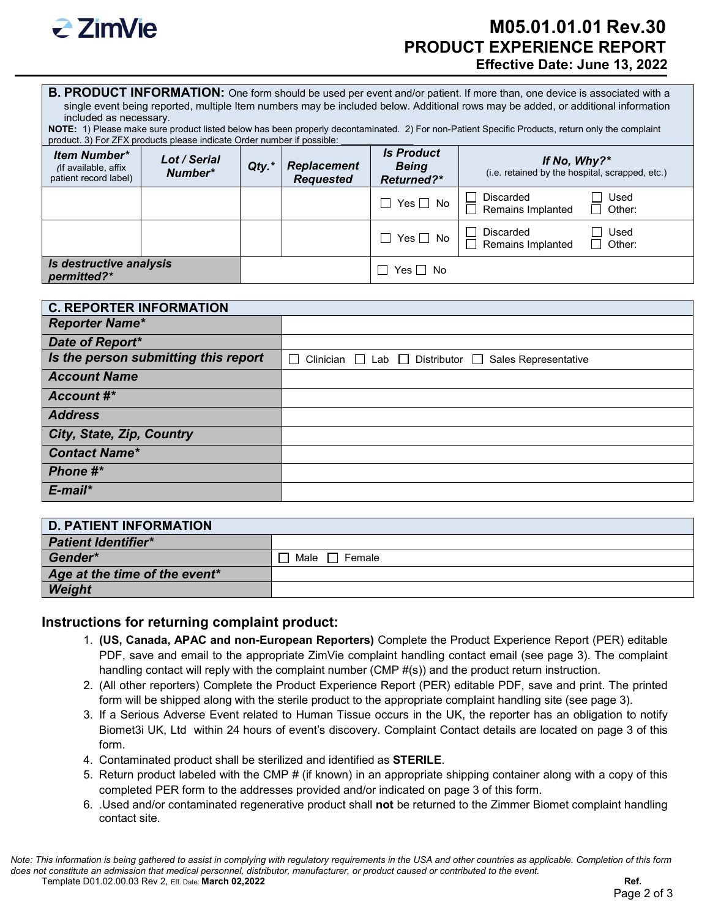

## **M05.01.01.01 Rev.30 PRODUCT EXPERIENCE REPORT Effective Date: June 13, 2022**

| <b>B. PRODUCT INFORMATION:</b> One form should be used per event and/or patient. If more than, one device is associated with a    |
|-----------------------------------------------------------------------------------------------------------------------------------|
| single event being reported, multiple Item numbers may be included below. Additional rows may be added, or additional information |
| included as necessary.                                                                                                            |

**NOTE:** 1) Please make sure product listed below has been properly decontaminated. 2) For non-Patient Specific Products, return only the complaint product. 3) For ZFX products please indicate Order number if possible:

| <b>Item Number*</b><br>(If available, affix<br>patient record label) | Lot / Serial<br>Number* | $Qty.*$ | <b>Replacement</b><br><b>Requested</b> | <b>Is Product</b><br><b>Being</b><br>Returned?* | If No, Why?*<br>(i.e. retained by the hospital, scrapped, etc.)         |  |
|----------------------------------------------------------------------|-------------------------|---------|----------------------------------------|-------------------------------------------------|-------------------------------------------------------------------------|--|
|                                                                      |                         |         |                                        | $\Box$ Yes $\Box$ No                            | Used<br>Discarded<br>$\Box$<br>Remains Implanted<br>$\Box$<br>Other:    |  |
|                                                                      |                         |         |                                        | $\Box$ Yes $\Box$ No                            | Used<br>Discarded<br>$\overline{a}$<br>П<br>Remains Implanted<br>Other: |  |
| Is destructive analysis<br>permitted?*                               |                         |         |                                        | Yes $\Box$ No                                   |                                                                         |  |

| <b>C. REPORTER INFORMATION</b>       |                                                            |
|--------------------------------------|------------------------------------------------------------|
| <b>Reporter Name*</b>                |                                                            |
| Date of Report*                      |                                                            |
| Is the person submitting this report | Clinician □ Lab □ Distributor □ Sales Representative<br>J. |
| <b>Account Name</b>                  |                                                            |
| Account #*                           |                                                            |
| <b>Address</b>                       |                                                            |
| City, State, Zip, Country            |                                                            |
| <b>Contact Name*</b>                 |                                                            |
| Phone #*                             |                                                            |
| $E$ -mail*                           |                                                            |

| <b>D. PATIENT INFORMATION</b> |                |
|-------------------------------|----------------|
| <b>Patient Identifier*</b>    |                |
| Gender*                       | Male<br>Female |
| Age at the time of the event* |                |
| Weight                        |                |

### **Instructions for returning complaint product:**

- 1. **(US, Canada, APAC and non-European Reporters)** Complete the Product Experience Report (PER) editable PDF, save and email to the appropriate ZimVie complaint handling contact email (see page 3). The complaint handling contact will reply with the complaint number (CMP #(s)) and the product return instruction.
- 2. (All other reporters) Complete the Product Experience Report (PER) editable PDF, save and print. The printed form will be shipped along with the sterile product to the appropriate complaint handling site (see page 3).
- 3. If a Serious Adverse Event related to Human Tissue occurs in the UK, the reporter has an obligation to notify Biomet3i UK, Ltd within 24 hours of event's discovery. Complaint Contact details are located on page 3 of this form.
- 4. Contaminated product shall be sterilized and identified as **STERILE**.
- 5. Return product labeled with the CMP # (if known) in an appropriate shipping container along with a copy of this completed PER form to the addresses provided and/or indicated on page 3 of this form.
- 6. .Used and/or contaminated regenerative product shall **not** be returned to the Zimmer Biomet complaint handling contact site.

*Note: This information is being gathered to assist in complying with regulatory requirements in the USA and other countries as applicable. Completion of this form does not constitute an admission that medical personnel, distributor, manufacturer, or product caused or contributed to the event.* Template D01.02.00.03 Rev 2, Eff. Date: **March 02,2022 Ref.**